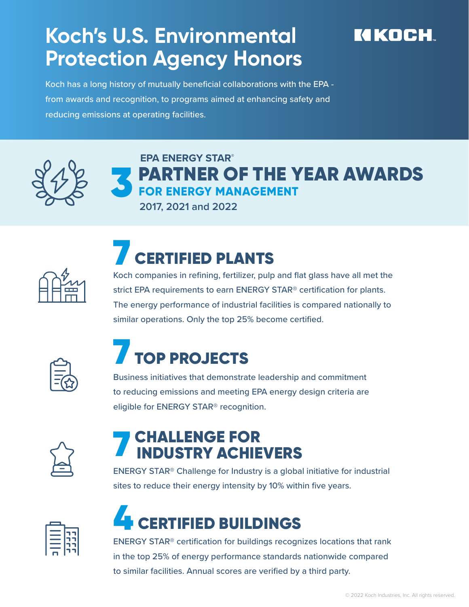#### **Koch's U.S. Environmental Protection Agency Honors**

#### KIKOCH

Koch has a long history of mutually beneficial collaborations with the EPA from awards and recognition, to programs aimed at enhancing safety and reducing emissions at operating facilities.



#### **EPA ENERGY STAR®** PARTNER OF THE YEAR AWARDS  **FOR ENERGY MANAGEMENT**

**2017, 2021 and 2022**



### **CERTIFIED PLANTS**

Koch companies in refining, fertilizer, pulp and flat glass have all met the strict EPA requirements to earn ENERGY STAR® certification for plants. The energy performance of industrial facilities is compared nationally to similar operations. Only the top 25% become certified.



## 7 TOP PROJECTS

Business initiatives that demonstrate leadership and commitment to reducing emissions and meeting EPA energy design criteria are eligible for ENERGY STAR® recognition.



# **7 CHALLENGE FOR<br>INDUSTRY ACHIEVERS**

ENERGY STAR® Challenge for Industry is a global initiative for industrial sites to reduce their energy intensity by 10% within five years.



## **CERTIFIED BUILDINGS**

ENERGY STAR® certification for buildings recognizes locations that rank in the top 25% of energy performance standards nationwide compared to similar facilities. Annual scores are verified by a third party.